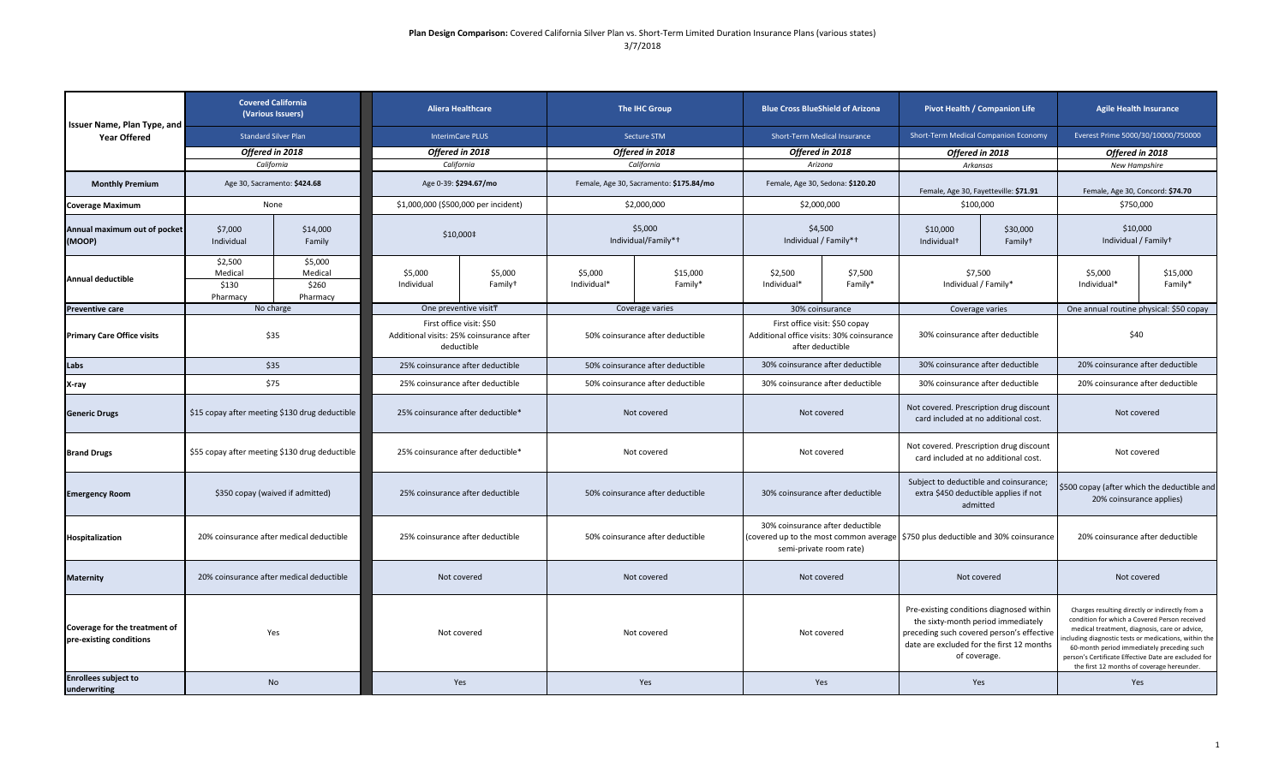| Issuer Name, Plan Type, and<br><b>Year Offered</b>       | <b>Covered California</b><br>(Various Issuers)<br><b>Standard Silver Plan</b> |                                         | <b>Aliera Healthcare</b><br><b>InterimCare PLUS</b>                                |                                | <b>The IHC Group</b><br>Secture STM     |                     | <b>Blue Cross BlueShield of Arizona</b><br>Short-Term Medical Insurance                         |                    | Pivot Health / Companion Life<br>Short-Term Medical Companion Economy                                                                                                                    |                                 | <b>Agile Health Insurance</b><br>Everest Prime 5000/30/10000/750000                                                                                                                                                                                                                                                                                          |                     |
|----------------------------------------------------------|-------------------------------------------------------------------------------|-----------------------------------------|------------------------------------------------------------------------------------|--------------------------------|-----------------------------------------|---------------------|-------------------------------------------------------------------------------------------------|--------------------|------------------------------------------------------------------------------------------------------------------------------------------------------------------------------------------|---------------------------------|--------------------------------------------------------------------------------------------------------------------------------------------------------------------------------------------------------------------------------------------------------------------------------------------------------------------------------------------------------------|---------------------|
|                                                          |                                                                               |                                         |                                                                                    |                                |                                         |                     |                                                                                                 |                    |                                                                                                                                                                                          |                                 |                                                                                                                                                                                                                                                                                                                                                              |                     |
|                                                          | California                                                                    |                                         | California                                                                         |                                | California                              |                     | Arizona                                                                                         |                    | Arkansas                                                                                                                                                                                 |                                 | <b>New Hampshire</b>                                                                                                                                                                                                                                                                                                                                         |                     |
| <b>Monthly Premium</b>                                   | Age 30, Sacramento: \$424.68                                                  |                                         | Age 0-39: \$294.67/mo                                                              |                                | Female, Age 30, Sacramento: \$175.84/mo |                     | Female, Age 30, Sedona: \$120.20                                                                |                    | Female, Age 30, Fayetteville: \$71.91                                                                                                                                                    |                                 | Female, Age 30, Concord: \$74.70                                                                                                                                                                                                                                                                                                                             |                     |
| <b>Coverage Maximum</b>                                  | None                                                                          |                                         | \$1,000,000 (\$500,000 per incident)                                               |                                | \$2,000,000                             |                     | \$2,000,000                                                                                     |                    | \$100,000                                                                                                                                                                                |                                 | \$750,000                                                                                                                                                                                                                                                                                                                                                    |                     |
| Annual maximum out of pocket<br>(MOOP)                   | \$7,000<br>\$14,000<br>Individual<br>Family                                   |                                         | \$10,000‡                                                                          |                                | \$5.000<br>Individual/Family*+          |                     | \$4.500<br>Individual / Family*+                                                                |                    | \$10,000<br>Individual <sup>+</sup>                                                                                                                                                      | \$30,000<br>Family <sup>+</sup> | \$10,000<br>Individual / Familyt                                                                                                                                                                                                                                                                                                                             |                     |
| <b>Annual deductible</b>                                 | \$2,500<br>Medical<br>\$130<br>Pharmacy                                       | \$5,000<br>Medical<br>\$260<br>Pharmacy | \$5,000<br>Individual                                                              | \$5,000<br>Family <sup>+</sup> | \$5,000<br>Individual*                  | \$15,000<br>Family* | \$2,500<br>Individual*                                                                          | \$7,500<br>Family* | \$7,500<br>Individual / Family*                                                                                                                                                          |                                 | \$5,000<br>Individual*                                                                                                                                                                                                                                                                                                                                       | \$15,000<br>Family* |
| <b>Preventive care</b>                                   |                                                                               | No charge                               | One preventive visitT                                                              |                                |                                         | Coverage varies     | 30% coinsurance                                                                                 |                    | Coverage varies                                                                                                                                                                          |                                 | One annual routine physical: \$50 copay                                                                                                                                                                                                                                                                                                                      |                     |
| <b>Primary Care Office visits</b>                        | \$35                                                                          |                                         | First office visit: \$50<br>Additional visits: 25% coinsurance after<br>deductible |                                | 50% coinsurance after deductible        |                     | First office visit: \$50 copay<br>Additional office visits: 30% coinsurance<br>after deductible |                    | 30% coinsurance after deductible                                                                                                                                                         |                                 | \$40                                                                                                                                                                                                                                                                                                                                                         |                     |
| Labs                                                     | \$35                                                                          |                                         | 25% coinsurance after deductible                                                   |                                | 50% coinsurance after deductible        |                     | 30% coinsurance after deductible                                                                |                    | 30% coinsurance after deductible                                                                                                                                                         |                                 | 20% coinsurance after deductible                                                                                                                                                                                                                                                                                                                             |                     |
| X-ray                                                    | \$75                                                                          |                                         | 25% coinsurance after deductible                                                   |                                | 50% coinsurance after deductible        |                     | 30% coinsurance after deductible                                                                |                    | 30% coinsurance after deductible                                                                                                                                                         |                                 | 20% coinsurance after deductible                                                                                                                                                                                                                                                                                                                             |                     |
| <b>Generic Drugs</b>                                     | \$15 copay after meeting \$130 drug deductible                                |                                         | 25% coinsurance after deductible*                                                  |                                | Not covered                             |                     | Not covered                                                                                     |                    | Not covered. Prescription drug discount<br>card included at no additional cost.                                                                                                          |                                 | Not covered                                                                                                                                                                                                                                                                                                                                                  |                     |
| <b>Brand Drugs</b>                                       | \$55 copay after meeting \$130 drug deductible                                |                                         | 25% coinsurance after deductible*                                                  |                                | Not covered                             |                     | Not covered                                                                                     |                    | Not covered. Prescription drug discount<br>card included at no additional cost.                                                                                                          |                                 | Not covered                                                                                                                                                                                                                                                                                                                                                  |                     |
| <b>Emergency Room</b>                                    | \$350 copay (waived if admitted)                                              |                                         | 25% coinsurance after deductible                                                   |                                | 50% coinsurance after deductible        |                     | 30% coinsurance after deductible                                                                |                    | Subject to deductible and coinsurance;<br>extra \$450 deductible applies if not<br>admitted                                                                                              |                                 | \$500 copay (after which the deductible and<br>20% coinsurance applies)                                                                                                                                                                                                                                                                                      |                     |
| Hospitalization                                          | 20% coinsurance after medical deductible                                      |                                         | 25% coinsurance after deductible                                                   |                                | 50% coinsurance after deductible        |                     | 30% coinsurance after deductible<br>semi-private room rate)                                     |                    | (covered up to the most common average \$750 plus deductible and 30% coinsurance                                                                                                         |                                 | 20% coinsurance after deductible                                                                                                                                                                                                                                                                                                                             |                     |
| <b>Maternity</b>                                         | 20% coinsurance after medical deductible                                      |                                         | Not covered                                                                        |                                | Not covered                             |                     | Not covered                                                                                     |                    | Not covered                                                                                                                                                                              |                                 | Not covered                                                                                                                                                                                                                                                                                                                                                  |                     |
| Coverage for the treatment of<br>pre-existing conditions | Yes                                                                           |                                         | Not covered                                                                        |                                | Not covered                             |                     | Not covered                                                                                     |                    | Pre-existing conditions diagnosed within<br>the sixty-month period immediately<br>preceding such covered person's effective<br>date are excluded for the first 12 months<br>of coverage. |                                 | Charges resulting directly or indirectly from a<br>condition for which a Covered Person received<br>medical treatment, diagnosis, care or advice,<br>cluding diagnostic tests or medications, within the<br>60-month period immediately preceding such<br>person's Certificate Effective Date are excluded for<br>the first 12 months of coverage hereunder. |                     |
| <b>Enrollees subject to</b><br>underwriting              | <b>No</b>                                                                     |                                         | Yes                                                                                |                                | Yes                                     |                     | Yes                                                                                             |                    | Yes                                                                                                                                                                                      |                                 | Yes                                                                                                                                                                                                                                                                                                                                                          |                     |